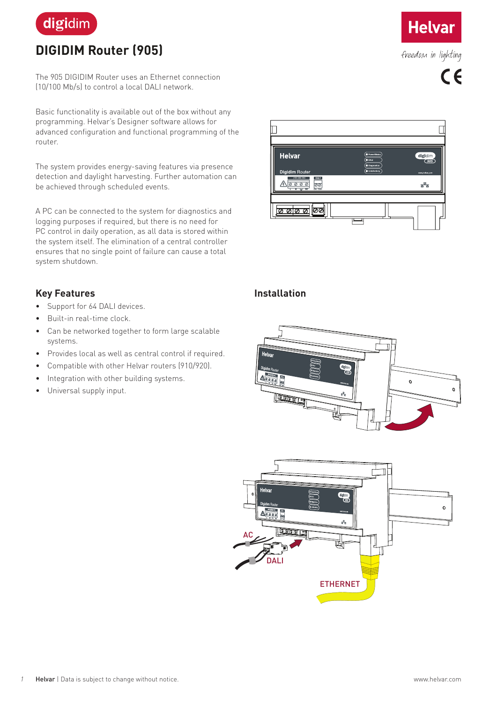

## **DIGIDIM Router (905)**

The 905 DIGIDIM Router uses an Ethernet connection (10/100 Mb/s) to control a local DALI network.

Basic functionality is available out of the box without any programming. Helvar's Designer software allows for advanced configuration and functional programming of the router.

The system provides energy-saving features via presence detection and daylight harvesting. Further automation can be achieved through scheduled events.

A PC can be connected to the system for diagnostics and logging purposes if required, but there is no need for PC control in daily operation, as all data is stored within the system itself. The elimination of a central controller ensures that no single point of failure can cause a total system shutdown.

### **Key Features**

- Support for 64 DALI devices.
- Built-in real-time clock.
- Can be networked together to form large scalable systems.
- Provides local as well as central control if required.
- Compatible with other Helvar routers (910/920).
- Integration with other building systems.
- Universal supply input.

# Г **Helvar** digidim<br>(905) **Digidim Route (100–240) VAC**홁 o oto ollool

### **Installation**





**Helvar** 

freedom in lighting